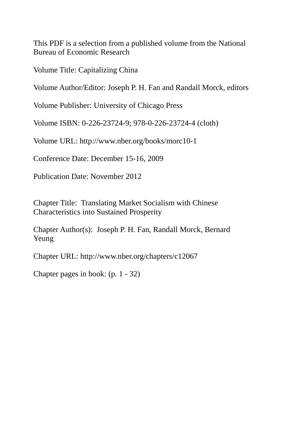This PDF is a selection from a published volume from the National Bureau of Economic Research

Volume Title: Capitalizing China

Volume Author/Editor: Joseph P. H. Fan and Randall Morck, editors

Volume Publisher: University of Chicago Press

Volume ISBN: 0-226-23724-9; 978-0-226-23724-4 (cloth)

Volume URL: http://www.nber.org/books/morc10-1

Conference Date: December 15-16, 2009

Publication Date: November 2012

Chapter Title: Translating Market Socialism with Chinese Characteristics into Sustained Prosperity

Chapter Author(s): Joseph P. H. Fan, Randall Morck, Bernard Yeung

Chapter URL: http://www.nber.org/chapters/c12067

Chapter pages in book: (p. 1 - 32)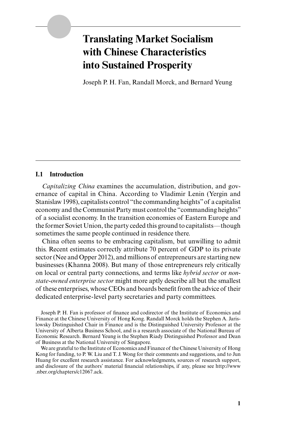# **Translating Market Socialism with Chinese Characteristics into Sustained Prosperity**

Joseph P. H. Fan, Randall Morck, and Bernard Yeung

#### **I.1 Introduction**

*Capitalizing China* examines the accumulation, distribution, and governance of capital in China. According to Vladimir Lenin (Yergin and Stanislaw 1998), capitalists control "the commanding heights" of a capitalist economy and the Communist Party must control the "commanding heights" of a socialist economy. In the transition economies of Eastern Europe and the former Soviet Union, the party ceded this ground to capitalists—though sometimes the same people continued in residence there.

China often seems to be embracing capitalism, but unwilling to admit this. Recent estimates correctly attribute 70 percent of GDP to its private sector (Nee and Opper 2012), and millions of entrepreneurs are starting new businesses (Khanna 2008). But many of those entrepreneurs rely critically on local or central party connections, and terms like *hybrid sector* or *nonstate- owned enterprise sector* might more aptly describe all but the smallest of these enterprises, whose CEOs and boards benefi t from the advice of their dedicated enterprise- level party secretaries and party committees.

Joseph P. H. Fan is professor of finance and codirector of the Institute of Economics and Finance at the Chinese University of Hong Kong. Randall Morck holds the Stephen A. Jarislowsky Distinguished Chair in Finance and is the Distinguished University Professor at the University of Alberta Business School, and is a research associate of the National Bureau of Economic Research. Bernard Yeung is the Stephen Riady Distinguished Professor and Dean of Business at the National University of Singapore.

We are grateful to the Institute of Economics and Finance of the Chinese University of Hong Kong for funding, to P. W. Liu and T. J. Wong for their comments and suggestions, and to Jun Huang for excellent research assistance. For acknowledgments, sources of research support, and disclosure of the authors' material financial relationships, if any, please see http://www .nber.org/chapters/c12067.ack.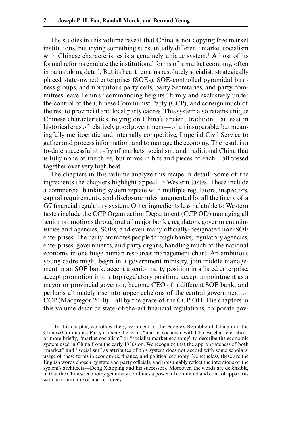The studies in this volume reveal that China is not copying free market institutions, but trying something substantially different: market socialism with Chinese characteristics is a genuinely unique system.<sup>1</sup> A host of its formal reforms emulate the institutional forms of a market economy, often in painstaking detail. But its heart remains resolutely socialist: strategically placed state- owned enterprises (SOEs), SOE- controlled pyramidal business groups, and ubiquitous party cells, party Secretaries, and party committees leave Lenin's "commanding heights" firmly and exclusively under the control of the Chinese Communist Party (CCP), and consign much of the rest to provincial and local party cadres. This system also retains unique Chinese characteristics, relying on China's ancient tradition—at least in historical eras of relatively good government—of an insuperable, but meaningfully meritocratic and internally competitive, Imperial Civil Service to gather and process information, and to manage the economy. The result is a to-date successful stir- fry of markets, socialism, and traditional China that is fully none of the three, but mixes in bits and pieces of each—all tossed together over very high heat.

The chapters in this volume analyze this recipe in detail. Some of the ingredients the chapters highlight appeal to Western tastes. These include a commercial banking system replete with multiple regulators, inspectors, capital requirements, and disclosure rules, augmented by all the finery of a G7 financial regulatory system. Other ingredients less palatable to Western tastes include the CCP Organization Department (CCP OD) managing all senior promotions throughout all major banks, regulators, government ministries and agencies, SOEs, and even many officially-designated non-SOE enterprises. The party promotes people through banks, regulatory agencies, enterprises, governments, and party organs, handling much of the national economy in one huge human resources management chart. An ambitious young cadre might begin in a government ministry, join middle management in an SOE bank, accept a senior party position in a listed enterprise, accept promotion into a top regulatory position, accept appointment as a mayor or provincial governor, become CEO of a different SOE bank, and perhaps ultimately rise into upper echelons of the central government or CCP (Macgregor 2010)—all by the grace of the CCP OD. The chapters in this volume describe state-of-the-art financial regulations, corporate gov-

1. In this chapter, we follow the government of the People's Republic of China and the Chinese Communist Party in using the terms "market socialism with Chinese characteristics," or more briefly, "market socialism" or "socialist market economy" to describe the economic system used in China from the early 1980s on. We recognize that the appropriateness of both "market" and "socialism" as attributes of this system does not accord with some scholars' usage of these terms in economics, finance, and political economy. Nonetheless, these are the English words chosen by state and party officials, and presumably reflect the intentions of the system's architects—Deng Xiaoping and his successors. Moreover, the words are defensible, in that the Chinese economy genuinely combines a powerful command and control apparatus with an admixture of market forces.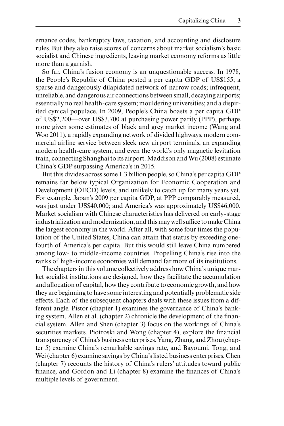ernance codes, bankruptcy laws, taxation, and accounting and disclosure rules. But they also raise scores of concerns about market socialism's basic socialist and Chinese ingredients, leaving market economy reforms as little more than a garnish.

So far, China's fusion economy is an unquestionable success. In 1978, the People's Republic of China posted a per capita GDP of US\$155; a sparse and dangerously dilapidated network of narrow roads; infrequent, unreliable, and dangerous air connections between small, decaying airports; essentially no real health- care system; mouldering universities; and a dispirited cynical populace. In 2009, People's China boasts a per capita GDP of US\$2,200—over US\$3,700 at purchasing power parity (PPP), perhaps more given some estimates of black and grey market income (Wang and Woo 2011), a rapidly expanding network of divided highways, modern commercial airline service between sleek new airport terminals, an expanding modern health-care system, and even the world's only magnetic levitation train, connecting Shanghai to its airport. Maddison and Wu (2008) estimate China's GDP surpassing America's in 2015.

But this divides across some 1.3 billion people, so China's per capita GDP remains far below typical Organization for Economic Cooperation and Development (OECD) levels, and unlikely to catch up for many years yet. For example, Japan's 2009 per capita GDP, at PPP comparably measured, was just under US\$40,000; and America's was approximately US\$46,000. Market socialism with Chinese characteristics has delivered on early-stage industrialization and modernization, and this may well suffice to make China the largest economy in the world. After all, with some four times the population of the United States, China can attain that status by exceeding onefourth of America's per capita. But this would still leave China numbered among low- to middle- income countries. Propelling China's rise into the ranks of high- income economies will demand far more of its institutions.

The chapters in this volume collectively address how China's unique market socialist institutions are designed, how they facilitate the accumulation and allocation of capital, how they contribute to economic growth, and how they are beginning to have some interesting and potentially problematic side effects. Each of the subsequent chapters deals with these issues from a different angle. Pistor (chapter 1) examines the governance of China's banking system. Allen et al. (chapter 2) chronicle the development of the financial system. Allen and Shen (chapter 3) focus on the workings of China's securities markets. Piotroski and Wong (chapter 4), explore the financial transparency of China's business enterprises. Yang, Zhang, and Zhou (chapter 5) examine China's remarkable savings rate, and Bayoumi, Tong, and Wei (chapter 6) examine savings by China's listed business enterprises. Chen (chapter 7) recounts the history of China's rulers' attitudes toward public finance, and Gordon and Li (chapter 8) examine the finances of China's multiple levels of government.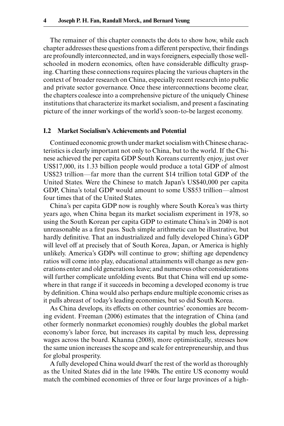The remainer of this chapter connects the dots to show how, while each chapter addresses these questions from a different perspective, their findings are profoundly interconnected, and in ways foreigners, especially those wellschooled in modern economics, often have considerable difficulty grasping. Charting these connections requires placing the various chapters in the context of broader research on China, especially recent research into public and private sector governance. Once these interconnections become clear, the chapters coalesce into a comprehensive picture of the uniquely Chinese institutions that characterize its market socialism, and present a fascinating picture of the inner workings of the world's soon- to-be largest economy.

#### **I.2 Market Socialism's Achievements and Potential**

Continued economic growth under market socialism with Chinese characteristics is clearly important not only to China, but to the world. If the Chinese achieved the per capita GDP South Koreans currently enjoy, just over US\$17,000, its 1.33 billion people would produce a total GDP of almost US\$23 trillion—far more than the current \$14 trillion total GDP of the United States. Were the Chinese to match Japan's US\$40,000 per capita GDP, China's total GDP would amount to some US\$53 trillion—almost four times that of the United States.

China's per capita GDP now is roughly where South Korea's was thirty years ago, when China began its market socialism experiment in 1978, so using the South Korean per capita GDP to estimate China's in 2040 is not unreasonable as a first pass. Such simple arithmetic can be illustrative, but hardly definitive. That an industrialized and fully developed China's GDP will level off at precisely that of South Korea, Japan, or America is highly unlikely. America's GDPs will continue to grow; shifting age dependency ratios will come into play, educational attainments will change as new generations enter and old generations leave; and numerous other considerations will further complicate unfolding events. But that China will end up somewhere in that range if it succeeds in becoming a developed economy is true by definition. China would also perhaps endure multiple economic crises as it pulls abreast of today's leading economies, but so did South Korea.

As China develops, its effects on other countries' economies are becoming evident. Freeman (2006) estimates that the integration of China (and other formerly nonmarket economies) roughly doubles the global market economy's labor force, but increases its capital by much less, depressing wages across the board. Khanna (2008), more optimistically, stresses how the same union increases the scope and scale for entrepreneurship, and thus for global prosperity.

A fully developed China would dwarf the rest of the world as thoroughly as the United States did in the late 1940s. The entire US economy would match the combined economies of three or four large provinces of a high-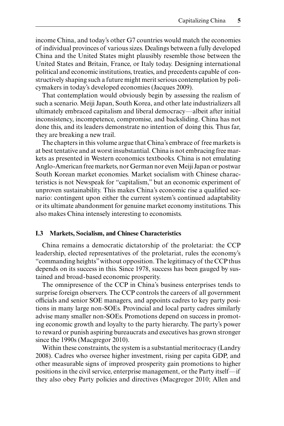income China, and today's other G7 countries would match the economies of individual provinces of various sizes. Dealings between a fully developed China and the United States might plausibly resemble those between the United States and Britain, France, or Italy today. Designing international political and economic institutions, treaties, and precedents capable of constructively shaping such a future might merit serious contemplation by policymakers in today's developed economies (Jacques 2009).

That contemplation would obviously begin by assessing the realism of such a scenario. Meiji Japan, South Korea, and other late industrializers all ultimately embraced capitalism and liberal democracy—albeit after initial inconsistency, incompetence, compromise, and backsliding. China has not done this, and its leaders demonstrate no intention of doing this. Thus far, they are breaking a new trail.

The chapters in this volume argue that China's embrace of free markets is at best tentative and at worst insubstantial. China is not embracing free markets as presented in Western economics textbooks. China is not emulating Anglo- American free markets, nor German nor even Meiji Japan or postwar South Korean market economies. Market socialism with Chinese characteristics is not Newspeak for "capitalism," but an economic experiment of unproven sustainability. This makes China's economic rise a qualified scenario: contingent upon either the current system's continued adaptability or its ultimate abandonment for genuine market economy institutions. This also makes China intensely interesting to economists.

## **I.3 Markets, Socialism, and Chinese Characteristics**

China remains a democratic dictatorship of the proletariat: the CCP leadership, elected representatives of the proletariat, rules the economy's "commanding heights" without opposition. The legitimacy of the CCP thus depends on its success in this. Since 1978, success has been gauged by sustained and broad- based economic prosperity.

The omnipresence of the CCP in China's business enterprises tends to surprise foreign observers. The CCP controls the careers of all government officials and senior SOE managers, and appoints cadres to key party positions in many large non-SOEs. Provincial and local party cadres similarly advise many smaller non-SOEs. Promotions depend on success in promoting economic growth and loyalty to the party hierarchy. The party's power to reward or punish aspiring bureaucrats and executives has grown stronger since the 1990s (Macgregor 2010).

Within these constraints, the system is a substantial meritocracy (Landry 2008). Cadres who oversee higher investment, rising per capita GDP, and other measurable signs of improved prosperity gain promotions to higher positions in the civil service, enterprise management, or the Party itself—if they also obey Party policies and directives (Macgregor 2010; Allen and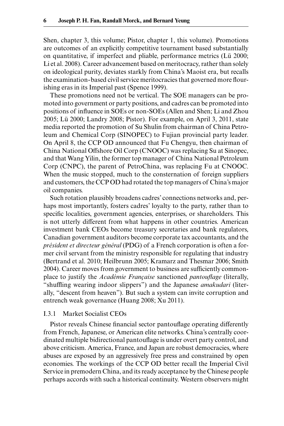Shen, chapter 3, this volume; Pistor, chapter 1, this volume). Promotions are outcomes of an explicitly competitive tournament based substantially on quantitative, if imperfect and pliable, performance metrics (Lü 2000; Li et al. 2008). Career advancement based on meritocracy, rather than solely on ideological purity, deviates starkly from China's Maoist era, but recalls the examination-based civil service meritocracies that governed more flourishing eras in its Imperial past (Spence 1999).

These promotions need not be vertical. The SOE managers can be promoted into government or party positions, and cadres can be promoted into positions of influence in SOEs or non-SOEs (Allen and Shen; Li and Zhou 2005; Lü 2000; Landry 2008; Pistor). For example, on April 3, 2011, state media reported the promotion of Su Shulin from chairman of China Petroleum and Chemical Corp (SINOPEC) to Fujian provincial party leader. On April 8, the CCP OD announced that Fu Chengyu, then chairman of China National Offshore Oil Corp (CNOOC) was replacing Su at Sinopec, and that Wang Yilin, the former top manager of China National Petroleum Corp (CNPC), the parent of PetroChina, was replacing Fu at CNOOC. When the music stopped, much to the consternation of foreign suppliers and customers, the CCP OD had rotated the top managers of China's major oil companies.

Such rotation plausibly broadens cadres' connections networks and, perhaps most importantly, fosters cadres' loyalty to the party, rather than to specific localities, government agencies, enterprises, or shareholders. This is not utterly different from what happens in other countries. American investment bank CEOs become treasury secretaries and bank regulators, Canadian government auditors become corporate tax accountants, and the *président et directeur général* (PDG) of a French corporation is often a former civil servant from the ministry responsible for regulating that industry (Bertrand et al. 2010; Heilbrunn 2005; Kramarz and Thesmar 2006; Smith 2004). Career moves from government to business are sufficiently commonplace to justify the *Académie Française* sanctioned *pantouflage* (literally, "shuffling wearing indoor slippers") and the Japanese *amakudari* (literally, "descent from heaven"). But such a system can invite corruption and entrench weak governance (Huang 2008; Xu 2011).

## I.3.1 Market Socialist CEOs

Pistor reveals Chinese financial sector pantouflage operating differently from French, Japanese, or American elite networks. China's centrally coordinated multiple bidirectional pantouflage is under overt party control, and above criticism. America, France, and Japan are robust democracies, where abuses are exposed by an aggressively free press and constrained by open economies. The workings of the CCP OD better recall the Imperial Civil Service in premodern China, and its ready acceptance by the Chinese people perhaps accords with such a historical continuity. Western observers might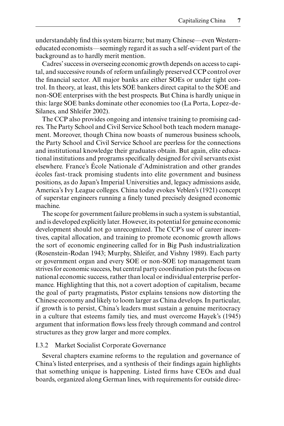understandably find this system bizarre; but many Chinese—even Westerneducated economists—seemingly regard it as such a self- evident part of the background as to hardly merit mention.

Cadres' success in overseeing economic growth depends on access to capital, and successive rounds of reform unfailingly preserved CCP control over the financial sector. All major banks are either SOEs or under tight control. In theory, at least, this lets SOE bankers direct capital to the SOE and non- SOE enterprises with the best prospects. But China is hardly unique in this: large SOE banks dominate other economies too (La Porta, Lopez- de-Silanes, and Shleifer 2002).

The CCP also provides ongoing and intensive training to promising cadres. The Party School and Civil Service School both teach modern management. Moreover, though China now boasts of numerous business schools, the Party School and Civil Service School are peerless for the connections and institutional knowledge their graduates obtain. But again, elite educational institutions and programs specifically designed for civil servants exist elsewhere. France's École Nationale d'Administration and other grandes écoles fast- track promising students into elite government and business positions, as do Japan's Imperial Universities and, legacy admissions aside, America's Ivy League colleges. China today evokes Veblen's (1921) concept of superstar engineers running a finely tuned precisely designed economic machine.

The scope for government failure problems in such a system is substantial, and is developed explicitly later. However, its potential for genuine economic development should not go unrecognized. The CCP's use of career incentives, capital allocation, and training to promote economic growth allows the sort of economic engineering called for in Big Push industrialization (Rosenstein- Rodan 1943; Murphy, Shleifer, and Vishny 1989). Each party or government organ and every SOE or non- SOE top management team strives for economic success, but central party coordination puts the focus on national economic success, rather than local or individual enterprise performance. Highlighting that this, not a covert adoption of capitalism, became the goal of party pragmatists, Pistor explains tensions now distorting the Chinese economy and likely to loom larger as China develops. In particular, if growth is to persist, China's leaders must sustain a genuine meritocracy in a culture that esteems family ties, and must overcome Hayek's (1945) argument that information flows less freely through command and control structures as they grow larger and more complex.

## I.3.2 Market Socialist Corporate Governance

Several chapters examine reforms to the regulation and governance of China's listed enterprises, and a synthesis of their findings again highlights that something unique is happening. Listed firms have CEOs and dual boards, organized along German lines, with requirements for outside direc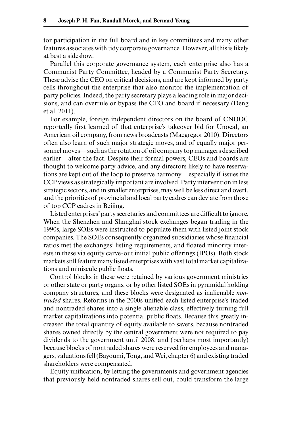tor participation in the full board and in key committees and many other features associates with tidy corporate governance. However, all this is likely at best a sideshow.

Parallel this corporate governance system, each enterprise also has a Communist Party Committee, headed by a Communist Party Secretary. These advise the CEO on critical decisions, and are kept informed by party cells throughout the enterprise that also monitor the implementation of party policies. Indeed, the party secretary plays a leading role in major decisions, and can overrule or bypass the CEO and board if necessary (Deng et al. 2011).

For example, foreign independent directors on the board of CNOOC reportedly first learned of that enterprise's takeover bid for Unocal, an American oil company, from news broadcasts (Macgregor 2010). Directors often also learn of such major strategic moves, and of equally major personnel moves—such as the rotation of oil company top managers described earlier—after the fact. Despite their formal powers, CEOs and boards are thought to welcome party advice, and any directors likely to have reservations are kept out of the loop to preserve harmony—especially if issues the CCP views as strategically important are involved. Party intervention in less strategic sectors, and in smaller enterprises, may well be less direct and overt, and the priorities of provincial and local party cadres can deviate from those of top CCP cadres in Beijing.

Listed enterprises' party secretaries and committees are difficult to ignore. When the Shenzhen and Shanghai stock exchanges began trading in the 1990s, large SOEs were instructed to populate them with listed joint stock companies. The SOEs consequently organized subsidiaries whose financial ratios met the exchanges' listing requirements, and floated minority interests in these via equity carve- out initial public offerings (IPOs). Both stock markets still feature many listed enterprises with vast total market capitalizations and miniscule public floats.

Control blocks in these were retained by various government ministries or other state or party organs, or by other listed SOEs in pyramidal holding company structures, and these blocks were designated as inalienable *nontraded* shares. Reforms in the 2000s unified each listed enterprise's traded and nontraded shares into a single alienable class, effectively turning full market capitalizations into potential public floats. Because this greatly increased the total quantity of equity available to savers, because nontraded shares owned directly by the central government were not required to pay dividends to the government until 2008, and (perhaps most importantly) because blocks of nontraded shares were reserved for employees and managers, valuations fell (Bayoumi, Tong, and Wei, chapter 6) and existing traded shareholders were compensated.

Equity unification, by letting the governments and government agencies that previously held nontraded shares sell out, could transform the large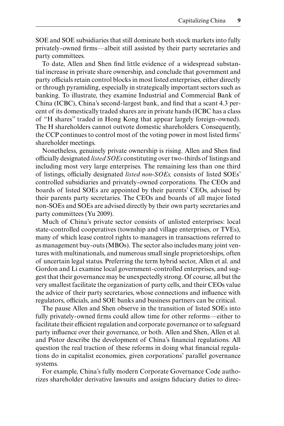SOE and SOE subsidiaries that still dominate both stock markets into fully privately-owned firms—albeit still assisted by their party secretaries and party committees.

To date, Allen and Shen find little evidence of a widespread substantial increase in private share ownership, and conclude that government and party officials retain control blocks in most listed enterprises, either directly or through pyramiding, especially in strategically important sectors such as banking. To illustrate, they examine Industrial and Commercial Bank of China (ICBC), China's second-largest bank, and find that a scant 4.3 percent of its domestically traded shares are in private hands (ICBC has a class of "H shares" traded in Hong Kong that appear largely foreign- owned). The H shareholders cannot outvote domestic shareholders. Consequently, the CCP continues to control most of the voting power in most listed firms' shareholder meetings.

Nonetheless, genuinely private ownership is rising. Allen and Shen find officially designated *listed SOEs* constituting over two- thirds of listings and including most very large enterprises. The remaining less than one third of listings, officially designated *listed non- SOEs,* consists of listed SOEs' controlled subsidiaries and privately- owned corporations. The CEOs and boards of listed SOEs are appointed by their parents' CEOs, advised by their parents party secretaries. The CEOs and boards of all major listed non- SOEs and SOEs are advised directly by their own party secretaries and party committees (Yu 2009).

Much of China's private sector consists of unlisted enterprises: local state- controlled cooperatives (township and village enterprises, or TVEs), many of which lease control rights to managers in transactions referred to as management buy- outs (MBOs). The sector also includes many joint ventures with multinationals, and numerous small single proprietorships, often of uncertain legal status. Preferring the term hybrid sector, Allen et al. and Gordon and Li examine local government- controlled enterprises, and suggest that their governance may be unexpectedly strong. Of course, all but the very smallest facilitate the organization of party cells, and their CEOs value the advice of their party secretaries, whose connections and influence with regulators, officials, and SOE banks and business partners can be critical.

The pause Allen and Shen observe in the transition of listed SOEs into fully privately-owned firms could allow time for other reforms-either to facilitate their efficient regulation and corporate governance or to safeguard party influence over their governance, or both. Allen and Shen, Allen et al. and Pistor describe the development of China's financial regulations. All question the real traction of these reforms in doing what financial regulations do in capitalist economies, given corporations' parallel governance systems.

For example, China's fully modern Corporate Governance Code authorizes shareholder derivative lawsuits and assigns fiduciary duties to direc-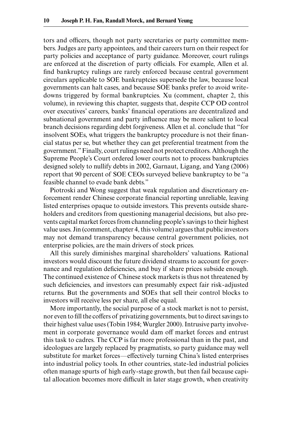tors and officers, though not party secretaries or party committee members. Judges are party appointees, and their careers turn on their respect for party policies and acceptance of party guidance. Moreover, court rulings are enforced at the discretion of party officials. For example, Allen et al. find bankruptcy rulings are rarely enforced because central government circulars applicable to SOE bankruptcies supersede the law, because local governments can halt cases, and because SOE banks prefer to avoid writedowns triggered by formal bankruptcies. Xu (comment, chapter 2, this volume), in reviewing this chapter, suggests that, despite CCP OD control over executives' careers, banks' financial operations are decentralized and subnational government and party influence may be more salient to local branch decisions regarding debt forgiveness. Allen et al. conclude that "for insolvent SOEs, what triggers the bankruptcy procedure is not their financial status per se, but whether they can get preferential treatment from the government." Finally, court rulings need not protect creditors. Although the Supreme People's Court ordered lower courts not to process bankruptcies designed solely to nullify debts in 2002, Garnaut, Ligang, and Yang (2006) report that 90 percent of SOE CEOs surveyed believe bankruptcy to be "a feasible channel to evade bank debts."

Piotroski and Wong suggest that weak regulation and discretionary enforcement render Chinese corporate financial reporting unreliable, leaving listed enterprises opaque to outside investors. This prevents outside shareholders and creditors from questioning managerial decisions, but also prevents capital market forces from channeling people's savings to their highest value uses. Jin (comment, chapter 4, this volume) argues that public investors may not demand transparency because central government policies, not enterprise policies, are the main drivers of stock prices.

All this surely diminishes marginal shareholders' valuations. Rational investors would discount the future dividend streams to account for governance and regulation deficiencies, and buy if share prices subside enough. The continued existence of Chinese stock markets is thus not threatened by such deficiencies, and investors can presumably expect fair risk-adjusted returns. But the governments and SOEs that sell their control blocks to investors will receive less per share, all else equal.

More importantly, the social purpose of a stock market is not to persist, nor even to fill the coffers of privatizing governments, but to direct savings to their highest value uses (Tobin 1984; Wurgler 2000). Intrusive party involvement in corporate governance would dam off market forces and entrust this task to cadres. The CCP is far more professional than in the past, and ideologues are largely replaced by pragmatists, so party guidance may well substitute for market forces—effectively turning China's listed enterprises into industrial policy tools. In other countries, state- led industrial policies often manage spurts of high early- stage growth, but then fail because capital allocation becomes more difficult in later stage growth, when creativity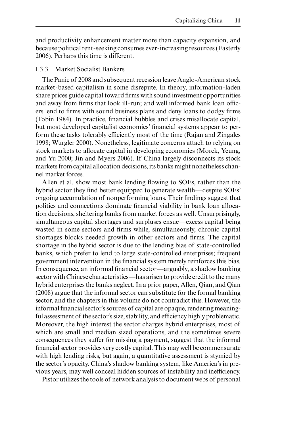and productivity enhancement matter more than capacity expansion, and because political rent- seeking consumes ever- increasing resources (Easterly 2006). Perhaps this time is different.

## I.3.3 Market Socialist Bankers

The Panic of 2008 and subsequent recession leave Anglo- American stock market- based capitalism in some disrepute. In theory, information- laden share prices guide capital toward firms with sound investment opportunities and away from firms that look ill-run; and well informed bank loan officers lend to firms with sound business plans and deny loans to dodgy firms (Tobin 1984). In practice, financial bubbles and crises misallocate capital, but most developed capitalist economies' financial systems appear to perform these tasks tolerably efficiently most of the time (Rajan and Zingales 1998; Wurgler 2000). Nonetheless, legitimate concerns attach to relying on stock markets to allocate capital in developing economies (Morck, Yeung, and Yu 2000; Jin and Myers 2006). If China largely disconnects its stock markets from capital allocation decisions, its banks might nonetheless channel market forces.

Allen et al. show most bank lending flowing to SOEs, rather than the hybrid sector they find better equipped to generate wealth—despite SOEs' ongoing accumulation of nonperforming loans. Their findings suggest that politics and connections dominate financial viability in bank loan allocation decisions, sheltering banks from market forces as well. Unsurprisingly, simultaneous capital shortages and surpluses ensue—excess capital being wasted in some sectors and firms while, simultaneously, chronic capital shortages blocks needed growth in other sectors and firms. The capital shortage in the hybrid sector is due to the lending bias of state- controlled banks, which prefer to lend to large state- controlled enterprises; frequent government intervention in the financial system merely reinforces this bias. In consequence, an informal financial sector—arguably, a shadow banking sector with Chinese characteristics—has arisen to provide credit to the many hybrid enterprises the banks neglect. In a prior paper, Allen, Qian, and Qian (2008) argue that the informal sector can substitute for the formal banking sector, and the chapters in this volume do not contradict this. However, the informal financial sector's sources of capital are opaque, rendering meaningful assessment of the sector's size, stability, and efficiency highly problematic. Moreover, the high interest the sector charges hybrid enterprises, most of which are small and median sized operations, and the sometimes severe consequences they suffer for missing a payment, suggest that the informal financial sector provides very costly capital. This may well be commensurate with high lending risks, but again, a quantitative assessment is stymied by the sector's opacity. China's shadow banking system, like America's in previous years, may well conceal hidden sources of instability and inefficiency.

Pistor utilizes the tools of network analysis to document webs of personal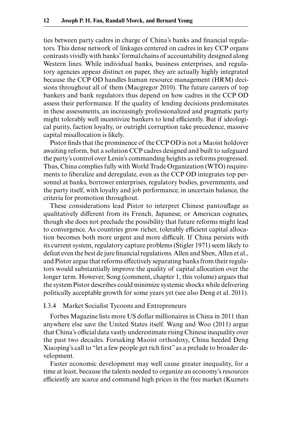ties between party cadres in charge of China's banks and financial regulators. This dense network of linkages centered on cadres in key CCP organs contrasts vividly with banks' formal chains of accountability designed along Western lines. While individual banks, business enterprises, and regulatory agencies appear distinct on paper, they are actually highly integrated because the CCP OD handles human resource management (HRM) decisions throughout all of them (Macgregor 2010). The future careers of top bankers and bank regulators thus depend on how cadres in the CCP OD assess their performance. If the quality of lending decisions predominates in these assessments, an increasingly professionalized and pragmatic party might tolerably well incentivize bankers to lend efficiently. But if ideological purity, faction loyalty, or outright corruption take precedence, massive capital misallocation is likely.

Pistor finds that the prominence of the CCP OD is not a Maoist holdover awaiting reform, but a solution CCP cadres designed and built to safeguard the party's control over Lenin's commanding heights as reforms progressed. Thus, China complies fully with World Trade Organization (WTO) requirements to liberalize and deregulate, even as the CCP OD integrates top personnel at banks, borrower enterprises, regulatory bodies, governments, and the party itself, with loyalty and job performance, in uncertain balance, the criteria for promotion throughout.

These considerations lead Pistor to interpret Chinese pantouflage as qualitatively different from its French, Japanese, or American cognates, though she does not preclude the possibility that future reforms might lead to convergence. As countries grow richer, tolerably efficient capital allocation becomes both more urgent and more difficult. If China persists with its current system, regulatory capture problems (Stigler 1971) seem likely to defeat even the best de jure financial regulations. Allen and Shen, Allen et al., and Pistor argue that reforms effectively separating banks from their regulators would substantially improve the quality of capital allocation over the longer term. However, Song (comment, chapter 1, this volume) argues that the system Pistor describes could minimize systemic shocks while delivering politically acceptable growth for some years yet (see also Deng et al. 2011).

#### I.3.4 Market Socialist Tycoons and Entrepreneurs

Forbes Magazine lists more US dollar millionaires in China in 2011 than anywhere else save the United States itself. Wang and Woo (2011) argue that China's official data vastly underestimate rising Chinese inequality over the past two decades. Forsaking Maoist orthodoxy, China heeded Deng Xiaoping's call to "let a few people get rich first" as a prelude to broader development.

Faster economic development may well cause greater inequality, for a time at least, because the talents needed to organize an economy's resources efficiently are scarce and command high prices in the free market (Kuznets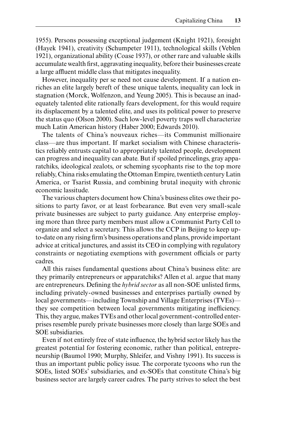1955). Persons possessing exceptional judgement (Knight 1921), foresight (Hayek 1941), creativity (Schumpeter 1911), technological skills (Veblen 1921), organizational ability (Coase 1937), or other rare and valuable skills accumulate wealth first, aggravating inequality, before their businesses create a large affluent middle class that mitigates inequality.

However, inequality per se need not cause development. If a nation enriches an elite largely bereft of these unique talents, inequality can lock in stagnation (Morck, Wolfenzon, and Yeung 2005). This is because an inadequately talented elite rationally fears development, for this would require its displacement by a talented elite, and uses its political power to preserve the status quo (Olson 2000). Such low- level poverty traps well characterize much Latin American history (Haber 2000; Edwards 2010).

The talents of China's nouveaux riches—its Communist millionaire class—are thus important. If market socialism with Chinese characteristics reliably entrusts capital to appropriately talented people, development can progress and inequality can abate. But if spoiled princelings, gray apparatchiks, ideological zealots, or scheming sycophants rise to the top more reliably, China risks emulating the Ottoman Empire, twentieth century Latin America, or Tsarist Russia, and combining brutal inequity with chronic economic lassitude.

The various chapters document how China's business elites owe their positions to party favor, or at least forbearance. But even very small-scale private businesses are subject to party guidance. Any enterprise employing more than three party members must allow a Communist Party Cell to organize and select a secretary. This allows the CCP in Beijing to keep upto-date on any rising firm's business operations and plans, provide important advice at critical junctures, and assist its CEO in complying with regulatory constraints or negotiating exemptions with government officials or party cadres.

All this raises fundamental questions about China's business elite: are they primarily entrepreneurs or apparatchiks? Allen et al. argue that many are entrepreneurs. Defining the *hybrid sector* as all non-SOE unlisted firms, including privately- owned businesses and enterprises partially owned by local governments—including Township and Village Enterprises (TVEs) they see competition between local governments mitigating inefficiency. This, they argue, makes TVEs and other local government- controlled enterprises resemble purely private businesses more closely than large SOEs and SOE subsidiaries.

Even if not entirely free of state influence, the hybrid sector likely has the greatest potential for fostering economic, rather than political, entrepreneurship (Baumol 1990; Murphy, Shleifer, and Vishny 1991). Its success is thus an important public policy issue. The corporate tycoons who run the SOEs, listed SOEs' subsidiaries, and ex-SOEs that constitute China's big business sector are largely career cadres. The party strives to select the best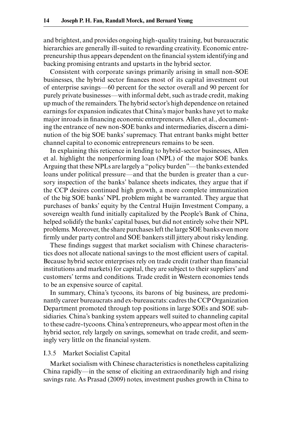and brightest, and provides ongoing high- quality training, but bureaucratic hierarchies are generally ill-suited to rewarding creativity. Economic entrepreneurship thus appears dependent on the financial system identifying and backing promising entrants and upstarts in the hybrid sector.

Consistent with corporate savings primarily arising in small non-SOE businesses, the hybrid sector finances most of its capital investment out of enterprise savings—60 percent for the sector overall and 90 percent for purely private businesses—with informal debt, such as trade credit, making up much of the remainders. The hybrid sector's high dependence on retained earnings for expansion indicates that China's major banks have yet to make major inroads in financing economic entrepreneurs. Allen et al., documenting the entrance of new non- SOE banks and intermediaries, discern a diminution of the big SOE banks' supremacy. That entrant banks might better channel capital to economic entrepreneurs remains to be seen.

In explaining this reticence in lending to hybrid- sector businesses, Allen et al. highlight the nonperforming loan (NPL) of the major SOE banks. Arguing that these NPLs are largely a "policy burden"—the banks extended loans under political pressure—and that the burden is greater than a cursory inspection of the banks' balance sheets indicates, they argue that if the CCP desires continued high growth, a more complete immunization of the big SOE banks' NPL problem might be warranted. They argue that purchases of banks' equity by the Central Huijin Investment Company, a sovereign wealth fund initially capitalized by the People's Bank of China, helped solidify the banks' capital bases, but did not entirely solve their NPL problems. Moreover, the share purchases left the large SOE banks even more firmly under party control and SOE bankers still jittery about risky lending.

These findings suggest that market socialism with Chinese characteristics does not allocate national savings to the most efficient users of capital. Because hybrid sector enterprises rely on trade credit (rather than financial institutions and markets) for capital, they are subject to their suppliers' and customers' terms and conditions. Trade credit in Western economies tends to be an expensive source of capital.

In summary, China's tycoons, its barons of big business, are predominantly career bureaucrats and ex-bureaucrats: cadres the CCP Organization Department promoted through top positions in large SOEs and SOE subsidiaries. China's banking system appears well suited to channeling capital to these cadre- tycoons. China's entrepreneurs, who appear most often in the hybrid sector, rely largely on savings, somewhat on trade credit, and seemingly very little on the financial system.

#### I.3.5 Market Socialist Capital

Market socialism with Chinese characteristics is nonetheless capitalizing China rapidly—in the sense of eliciting an extraordinarily high and rising savings rate. As Prasad (2009) notes, investment pushes growth in China to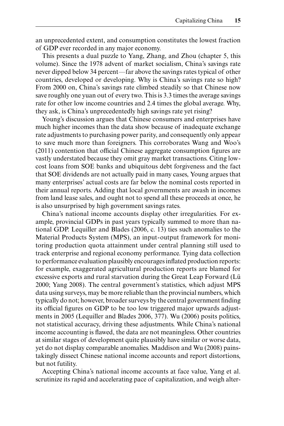an unprecedented extent, and consumption constitutes the lowest fraction of GDP ever recorded in any major economy.

This presents a dual puzzle to Yang, Zhang, and Zhou (chapter 5, this volume). Since the 1978 advent of market socialism, China's savings rate never dipped below 34 percent—far above the savings rates typical of other countries, developed or developing. Why is China's savings rate so high? From 2000 on, China's savings rate climbed steadily so that Chinese now save roughly one yuan out of every two. This is 3.3 times the average savings rate for other low income countries and 2.4 times the global average. Why, they ask, is China's unprecedentedly high savings rate yet rising?

Young's discussion argues that Chinese consumers and enterprises have much higher incomes than the data show because of inadequate exchange rate adjustments to purchasing power parity, and consequently only appear to save much more than foreigners. This corroborates Wang and Woo's  $(2011)$  contention that official Chinese aggregate consumption figures are vastly understated because they omit gray market transactions. Citing lowcost loans from SOE banks and ubiquitous debt forgiveness and the fact that SOE dividends are not actually paid in many cases, Young argues that many enterprises' actual costs are far below the nominal costs reported in their annual reports. Adding that local governments are awash in incomes from land lease sales, and ought not to spend all these proceeds at once, he is also unsurprised by high government savings rates.

China's national income accounts display other irregularities. For example, provincial GDPs in past years typically summed to more than national GDP. Lequiller and Blades (2006, c. 13) ties such anomalies to the Material Products System (MPS), an input- output framework for monitoring production quota attainment under central planning still used to track enterprise and regional economy performance. Tying data collection to performance evaluation plausibly encourages inflated production reports: for example, exaggerated agricultural production reports are blamed for excessive exports and rural starvation during the Great Leap Forward (Lü 2000; Yang 2008). The central government's statistics, which adjust MPS data using surveys, may be more reliable than the provincial numbers, which typically do not; however, broader surveys by the central government finding its official figures on GDP to be too low triggered major upwards adjustments in 2005 (Lequiller and Blades 2006, 377). Wu (2006) posits politics, not statistical accuracy, driving these adjustments. While China's national income accounting is flawed, the data are not meaningless. Other countries at similar stages of development quite plausibly have similar or worse data, yet do not display comparable anomalies. Maddison and Wu (2008) painstakingly dissect Chinese national income accounts and report distortions, but not futility.

Accepting China's national income accounts at face value, Yang et al. scrutinize its rapid and accelerating pace of capitalization, and weigh alter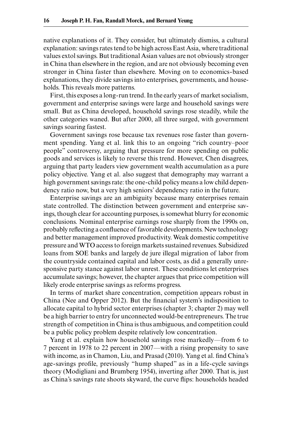native explanations of it. They consider, but ultimately dismiss, a cultural explanation: savings rates tend to be high across East Asia, where traditional values extol savings. But traditional Asian values are not obviously stronger in China than elsewhere in the region, and are not obviously becoming even stronger in China faster than elsewhere. Moving on to economics- based explanations, they divide savings into enterprises, governments, and households. This reveals more patterns.

First, this exposes a long- run trend. In the early years of market socialism, government and enterprise savings were large and household savings were small. But as China developed, household savings rose steadily, while the other categories waned. But after 2000, all three surged, with government savings soaring fastest.

Government savings rose because tax revenues rose faster than government spending. Yang et al. link this to an ongoing "rich country–poor people" controversy, arguing that pressure for more spending on public goods and services is likely to reverse this trend. However, Chen disagrees, arguing that party leaders view government wealth accumulation as a pure policy objective. Yang et al. also suggest that demography may warrant a high government savings rate: the one- child policy means a low child dependency ratio now, but a very high seniors' dependency ratio in the future.

Enterprise savings are an ambiguity because many enterprises remain state controlled. The distinction between government and enterprise savings, though clear for accounting purposes, is somewhat blurry for economic conclusions. Nominal enterprise earnings rose sharply from the 1990s on, probably reflecting a confluence of favorable developments. New technology and better management improved productivity. Weak domestic competitive pressure and WTO access to foreign markets sustained revenues. Subsidized loans from SOE banks and largely de jure illegal migration of labor from the countryside contained capital and labor costs, as did a generally unresponsive party stance against labor unrest. These conditions let enterprises accumulate savings; however, the chapter argues that price competition will likely erode enterprise savings as reforms progress.

In terms of market share concentration, competition appears robust in China (Nee and Opper 2012). But the financial system's indisposition to allocate capital to hybrid sector enterprises (chapter 3; chapter 2) may well be a high barrier to entry for unconnected would-be entrepreneurs. The true strength of competition in China is thus ambiguous, and competition could be a public policy problem despite relatively low concentration.

Yang et al. explain how household savings rose markedly—from 6 to 7 percent in 1978 to 22 percent in 2007—with a rising propensity to save with income, as in Chamon, Liu, and Prasad (2010). Yang et al. find China's age-savings profile, previously "hump shaped" as in a life-cycle savings theory (Modigliani and Brumberg 1954), inverting after 2000. That is, just as China's savings rate shoots skyward, the curve flips: households headed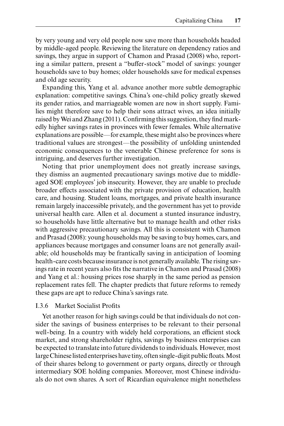by very young and very old people now save more than households headed by middle- aged people. Reviewing the literature on dependency ratios and savings, they argue in support of Chamon and Prasad (2008) who, reporting a similar pattern, present a "buffer- stock" model of savings: younger households save to buy homes; older households save for medical expenses and old age security.

Expanding this, Yang et al. advance another more subtle demographic explanation: competitive savings. China's one- child policy greatly skewed its gender ratios, and marriageable women are now in short supply. Families might therefore save to help their sons attract wives, an idea initially raised by Wei and Zhang (2011). Confirming this suggestion, they find markedly higher savings rates in provinces with fewer females. While alternative explanations are possible—for example, these might also be provinces where traditional values are strongest—the possibility of unfolding unintended economic consequences to the venerable Chinese preference for sons is intriguing, and deserves further investigation.

Noting that prior unemployment does not greatly increase savings, they dismiss an augmented precautionary savings motive due to middleaged SOE employees' job insecurity. However, they are unable to preclude broader effects associated with the private provision of education, health care, and housing. Student loans, mortgages, and private health insurance remain largely inaccessible privately, and the government has yet to provide universal health care. Allen et al. document a stunted insurance industry, so households have little alternative but to manage health and other risks with aggressive precautionary savings. All this is consistent with Chamon and Prasad (2008): young households may be saving to buy homes, cars, and appliances because mortgages and consumer loans are not generally available; old households may be frantically saving in anticipation of looming health- care costs because insurance is not generally available. The rising savings rate in recent years also fits the narrative in Chamon and Prasad (2008) and Yang et al.: housing prices rose sharply in the same period as pension replacement rates fell. The chapter predicts that future reforms to remedy these gaps are apt to reduce China's savings rate.

#### I.3.6 Market Socialist Profits

Yet another reason for high savings could be that individuals do not consider the savings of business enterprises to be relevant to their personal well- being. In a country with widely held corporations, an efficient stock market, and strong shareholder rights, savings by business enterprises can be expected to translate into future dividends to individuals. However, most large Chinese listed enterprises have tiny, often single-digit public floats. Most of their shares belong to government or party organs, directly or through intermediary SOE holding companies. Moreover, most Chinese individuals do not own shares. A sort of Ricardian equivalence might nonetheless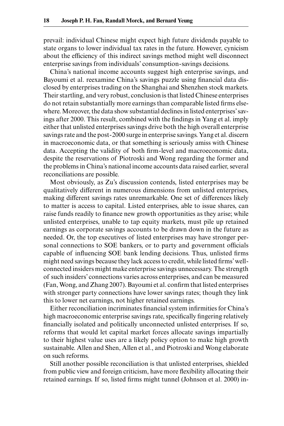prevail: individual Chinese might expect high future dividends payable to state organs to lower individual tax rates in the future. However, cynicism about the efficiency of this indirect savings method might well disconnect enterprise savings from individuals' consumption- savings decisions.

China's national income accounts suggest high enterprise savings, and Bayoumi et al. reexamine China's savings puzzle using financial data disclosed by enterprises trading on the Shanghai and Shenzhen stock markets. Their startling, and very robust, conclusion is that listed Chinese enterprises do not retain substantially more earnings than comparable listed firms elsewhere. Moreover, the data show substantial declines in listed enterprises' savings after 2000. This result, combined with the findings in Yang et al. imply either that unlisted enterprises savings drive both the high overall enterprise savings rate and the post-2000 surge in enterprise savings. Yang et al. discern in macroeconomic data, or that something is seriously amiss with Chinese data. Accepting the validity of both firm-level and macroeconomic data, despite the reservations of Piotroski and Wong regarding the former and the problems in China's national income accounts data raised earlier, several reconciliations are possible.

Most obviously, as Zu's discussion contends, listed enterprises may be qualitatively different in numerous dimensions from unlisted enterprises, making different savings rates unremarkable. One set of differences likely to matter is access to capital. Listed enterprises, able to issue shares, can raise funds readily to finance new growth opportunities as they arise; while unlisted enterprises, unable to tap equity markets, must pile up retained earnings as corporate savings accounts to be drawn down in the future as needed. Or, the top executives of listed enterprises may have stronger personal connections to SOE bankers, or to party and government officials capable of influencing SOE bank lending decisions. Thus, unlisted firms might need savings because they lack access to credit, while listed firms' wellconnected insiders might make enterprise savings unnecessary. The strength of such insiders' connections varies across enterprises, and can be measured (Fan, Wong, and Zhang 2007). Bayoumi et al. confirm that listed enterprises with stronger party connections have lower savings rates; though they link this to lower net earnings, not higher retained earnings.

Either reconciliation incriminates financial system infirmities for China's high macroeconomic enterprise savings rate, specifically fingering relatively financially isolated and politically unconnected unlisted enterprises. If so, reforms that would let capital market forces allocate savings impartially to their highest value uses are a likely policy option to make high growth sustainable. Allen and Shen, Allen et al., and Piotroski and Wong elaborate on such reforms.

Still another possible reconciliation is that unlisted enterprises, shielded from public view and foreign criticism, have more flexibility allocating their retained earnings. If so, listed firms might tunnel (Johnson et al. 2000) in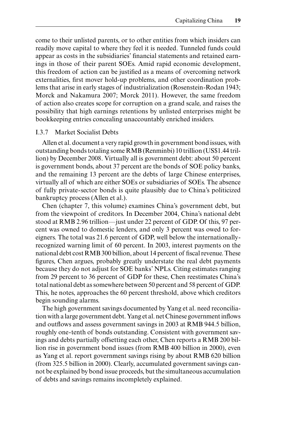come to their unlisted parents, or to other entities from which insiders can readily move capital to where they feel it is needed. Tunneled funds could appear as costs in the subsidiaries' financial statements and retained earnings in those of their parent SOEs. Amid rapid economic development, this freedom of action can be justified as a means of overcoming network externalities, first mover hold-up problems, and other coordination problems that arise in early stages of industrialization (Rosenstein-Rodan 1943; Morck and Nakamura 2007; Morck 2011). However, the same freedom of action also creates scope for corruption on a grand scale, and raises the possibility that high earnings retentions by unlisted enterprises might be bookkeeping entries concealing unaccountably enriched insiders.

#### I.3.7 Market Socialist Debts

Allen et al. document a very rapid growth in government bond issues, with outstanding bonds totaling some RMB (Renminbi) 10 trillion (US\$1.44 trillion) by December 2008. Virtually all is government debt: about 50 percent is government bonds, about 37 percent are the bonds of SOE policy banks, and the remaining 13 percent are the debts of large Chinese enterprises, virtually all of which are either SOEs or subsidiaries of SOEs. The absence of fully private- sector bonds is quite plausibly due to China's politicized bankruptcy process (Allen et al.).

Chen (chapter 7, this volume) examines China's government debt, but from the viewpoint of creditors. In December 2004, China's national debt stood at RMB 2.96 trillion—just under 22 percent of GDP. Of this, 97 percent was owned to domestic lenders, and only 3 percent was owed to foreigners. The total was 21.6 percent of GDP, well below the internationallyrecognized warning limit of 60 percent. In 2003, interest payments on the national debt cost RMB 300 billion, about 14 percent of fiscal revenue. These figures, Chen argues, probably greatly understate the real debt payments because they do not adjust for SOE banks' NPLs. Citing estimates ranging from 29 percent to 36 percent of GDP for these, Chen reestimates China's total national debt as somewhere between 50 percent and 58 percent of GDP. This, he notes, approaches the 60 percent threshold, above which creditors begin sounding alarms.

The high government savings documented by Yang et al. need reconciliation with a large government debt. Yang et al. net Chinese government inflows and outflows and assess government savings in 2003 at RMB 944.5 billion, roughly one- tenth of bonds outstanding. Consistent with government savings and debts partially offsetting each other, Chen reports a RMB 200 billion rise in government bond issues (from RMB 400 billion in 2000), even as Yang et al. report government savings rising by about RMB 620 billion (from 325.5 billion in 2000). Clearly, accumulated government savings cannot be explained by bond issue proceeds, but the simultaneous accumulation of debts and savings remains incompletely explained.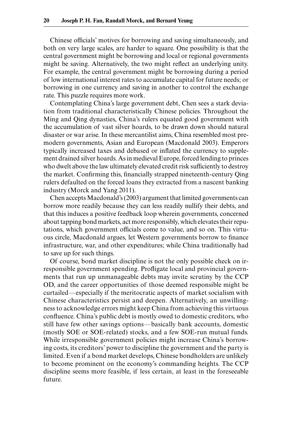Chinese officials' motives for borrowing and saving simultaneously, and both on very large scales, are harder to square. One possibility is that the central government might be borrowing and local or regional governments might be saving. Alternatively, the two might reflect an underlying unity. For example, the central government might be borrowing during a period of low international interest rates to accumulate capital for future needs; or borrowing in one currency and saving in another to control the exchange rate. This puzzle requires more work.

Contemplating China's large government debt, Chen sees a stark deviation from traditional characteristically Chinese policies. Throughout the Ming and Qing dynasties, China's rulers equated good government with the accumulation of vast silver hoards, to be drawn down should natural disaster or war arise. In these mercantilist aims, China resembled most premodern governments, Asian and European (Macdonald 2003). Emperors typically increased taxes and debased or inflated the currency to supplement drained silver hoards. As in medieval Europe, forced lending to princes who dwelt above the law ultimately elevated credit risk sufficiently to destroy the market. Confirming this, financially strapped nineteenth-century Qing rulers defaulted on the forced loans they extracted from a nascent banking industry (Morck and Yang 2011).

Chen accepts Macdonald's (2003) argument that limited governments can borrow more readily because they can less readily nullify their debts, and that this induces a positive feedback loop wherein governments, concerned about tapping bond markets, act more responsibly, which elevates their reputations, which government officials come to value, and so on. This virtuous circle, Macdonald argues, let Western governments borrow to finance infrastructure, war, and other expenditures; while China traditionally had to save up for such things.

Of course, bond market discipline is not the only possible check on irresponsible government spending. Profligate local and provincial governments that run up unmanageable debts may invite scrutiny by the CCP OD, and the career opportunities of those deemed responsible might be curtailed—especially if the meritocratic aspects of market socialism with Chinese characteristics persist and deepen. Alternatively, an unwillingness to acknowledge errors might keep China from achieving this virtuous confluence. China's public debt is mostly owed to domestic creditors, who still have few other savings options—basically bank accounts, domestic (mostly SOE or SOE- related) stocks, and a few SOE- run mutual funds. While irresponsible government policies might increase China's borrowing costs, its creditors' power to discipline the government and the party is limited. Even if a bond market develops, Chinese bondholders are unlikely to become prominent on the economy's commanding heights. The CCP discipline seems more feasible, if less certain, at least in the foreseeable future.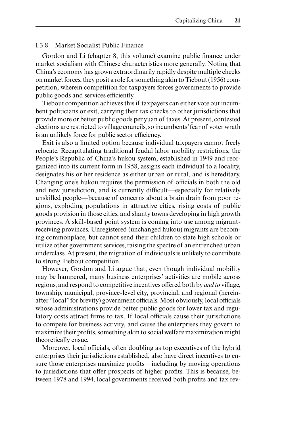## I.3.8 Market Socialist Public Finance

Gordon and Li (chapter 8, this volume) examine public finance under market socialism with Chinese characteristics more generally. Noting that China's economy has grown extraordinarily rapidly despite multiple checks on market forces, they posit a role for something akin to Tiebout (1956) competition, wherein competition for taxpayers forces governments to provide public goods and services efficiently.

Tiebout competition achieves this if taxpayers can either vote out incumbent politicians or exit, carrying their tax checks to other jurisdictions that provide more or better public goods per yuan of taxes. At present, contested elections are restricted to village councils, so incumbents' fear of voter wrath is an unlikely force for public sector efficiency.

Exit is also a limited option because individual taxpayers cannot freely relocate. Recapitulating traditional feudal labor mobility restrictions, the People's Republic of China's hukou system, established in 1949 and reorganized into its current form in 1958, assigns each individual to a locality, designates his or her residence as either urban or rural, and is hereditary. Changing one's hukou requires the permission of officials in both the old and new jurisdiction, and is currently difficult—especially for relatively un skilled people—because of concerns about a brain drain from poor regions, ex ploding populations in attractive cities, rising costs of public goods provision in those cities, and shanty towns developing in high growth provinces. A skill- based point system is coming into use among migrantreceiving provinces. Unregistered (unchanged hukou) migrants are becoming commonplace, but cannot send their children to state high schools or utilize other government services, raising the spectre of an entrenched urban underclass. At present, the migration of individuals is unlikely to contribute to strong Tiebout competition.

However, Gordon and Li argue that, even though individual mobility may be hampered, many business enterprises' activities are mobile across regions, and respond to competitive incentives offered both by *and to* village, township, municipal, province- level city, provincial, and regional (hereinafter "local" for brevity) government officials. Most obviously, local officials whose administrations provide better public goods for lower tax and regulatory costs attract firms to tax. If local officials cause their jurisdictions to compete for business activity, and cause the enterprises they govern to maximize their profits, something akin to social welfare maximization might theoretically ensue.

Moreover, local officials, often doubling as top executives of the hybrid enterprises their jurisdictions established, also have direct incentives to ensure those enterprises maximize profits—including by moving operations to jurisdictions that offer prospects of higher profits. This is because, between 1978 and 1994, local governments received both profits and tax rev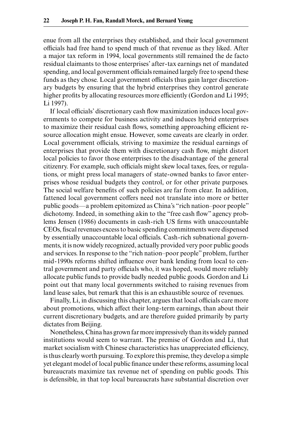enue from all the enterprises they established, and their local government officials had free hand to spend much of that revenue as they liked. After a major tax reform in 1994, local governments still remained the de facto residual claimants to those enterprises' after- tax earnings net of mandated spending, and local government officials remained largely free to spend these funds as they chose. Local government officials thus gain larger discretionary budgets by ensuring that the hybrid enterprises they control generate higher profits by allocating resources more efficiently (Gordon and Li 1995; Li 1997).

If local officials' discretionary cash flow maximization induces local governments to compete for business activity and induces hybrid enterprises to maximize their residual cash flows, something approaching efficient resource allocation might ensue. However, some caveats are clearly in order. Local government officials, striving to maximize the residual earnings of enterprises that provide them with discretionary cash flow, might distort local policies to favor those enterprises to the disadvantage of the general citizenry. For example, such officials might skew local taxes, fees, or regulations, or might press local managers of state- owned banks to favor enterprises whose residual budgets they control, or for other private purposes. The social welfare benefits of such policies are far from clear. In addition, fattened local government coffers need not translate into more or better public goods—a problem epitomized as China's "rich nation– poor people" dichotomy. Indeed, in something akin to the "free cash flow" agency problems Jensen (1986) documents in cash-rich US firms with unaccountable CEOs, fi scal revenues excess to basic spending commitments were dispensed by essentially unaccountable local officials. Cash- rich subnational governments, it is now widely recognized, actually provided very poor public goods and services. In response to the "rich nation– poor people" problem, further mid-1990s reforms shifted influence over bank lending from local to central government and party officials who, it was hoped, would more reliably allocate public funds to provide badly needed public goods. Gordon and Li point out that many local governments switched to raising revenues from land lease sales, but remark that this is an exhaustible source of revenues.

Finally, Li, in discussing this chapter, argues that local officials care more about promotions, which affect their long- term earnings, than about their current discretionary budgets, and are therefore guided primarily by party dictates from Beijing.

Nonetheless, China has grown far more impressively than its widely panned institutions would seem to warrant. The premise of Gordon and Li, that market socialism with Chinese characteristics has unappreciated efficiency, is thus clearly worth pursuing. To explore this premise, they develop a simple yet elegant model of local public finance under these reforms, assuming local bureaucrats maximize tax revenue net of spending on public goods. This is defensible, in that top local bureaucrats have substantial discretion over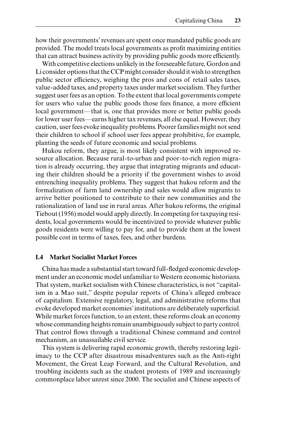how their governments' revenues are spent once mandated public goods are provided. The model treats local governments as profit maximizing entities that can attract business activity by providing public goods more efficiently.

With competitive elections unlikely in the foreseeable future, Gordon and Li consider options that the CCP might consider should it wish to strengthen public sector efficiency, weighing the pros and cons of retail sales taxes, value- added taxes, and property taxes under market socialism. They further suggest user fees as an option. To the extent that local governments compete for users who value the public goods those fees finance, a more efficient local government—that is, one that provides more or better public goods for lower user fees—earns higher tax revenues, all else equal. However, they caution, user fees evoke inequality problems. Poorer families might not send their children to school if school user fees appear prohibitive, for example, planting the seeds of future economic and social problems.

Hukou reform, they argue, is most likely consistent with improved resource allocation. Because rural- to-urban and poor- to-rich region migration is already occurring, they argue that integrating migrants and educating their children should be a priority if the government wishes to avoid entrenching inequality problems. They suggest that hukou reform and the formalization of farm land ownership and sales would allow migrants to arrive better positioned to contribute to their new communities and the rationalization of land use in rural areas. After hukou reforms, the original Tiebout (1956) model would apply directly. In competing for taxpaying residents, local governments would be incentivized to provide whatever public goods residents were willing to pay for, and to provide them at the lowest possible cost in terms of taxes, fees, and other burdens.

#### **I.4 Market Socialist Market Forces**

China has made a substantial start toward full-fledged economic development under an economic model unfamiliar to Western economic historians. That system, market socialism with Chinese characteristics, is not "capitalism in a Mao suit," despite popular reports of China's alleged embrace of capitalism. Extensive regulatory, legal, and administrative reforms that evoke developed market economies' institutions are deliberately superficial. While market forces function, to an extent, these reforms cloak an economy whose commanding heights remain unambiguously subject to party control. That control flows through a traditional Chinese command and control mechanism, an unassailable civil service.

This system is delivering rapid economic growth, thereby restoring legitimacy to the CCP after disastrous misadventures such as the Anti-right Movement, the Great Leap Forward, and the Cultural Revolution, and troubling incidents such as the student protests of 1989 and increasingly commonplace labor unrest since 2000. The socialist and Chinese aspects of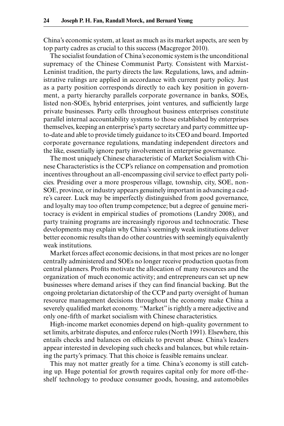China's economic system, at least as much as its market aspects, are seen by top party cadres as crucial to this success (Macgregor 2010).

The socialist foundation of China's economic system is the unconditional supremacy of the Chinese Communist Party. Consistent with Marxist-Leninist tradition, the party directs the law. Regulations, laws, and administrative rulings are applied in accordance with current party policy. Just as a party position corresponds directly to each key position in government, a party hierarchy parallels corporate governance in banks, SOEs, listed non-SOEs, hybrid enterprises, joint ventures, and sufficiently large private businesses. Party cells throughout business enterprises constitute parallel internal accountability systems to those established by enterprises themselves, keeping an enterprise's party secretary and party committee upto-date and able to provide timely guidance to its CEO and board. Imported corporate governance regulations, mandating independent directors and the like, essentially ignore party involvement in enterprise governance.

The most uniquely Chinese characteristic of Market Socialism with Chinese Characteristics is the CCP's reliance on compensation and promotion incentives throughout an all-encompassing civil service to effect party policies. Presiding over a more prosperous village, township, city, SOE, non-SOE, province, or industry appears genuinely important in advancing a cadre's career. Luck may be imperfectly distinguished from good governance, and loyalty may too often trump competence; but a degree of genuine meritocracy is evident in empirical studies of promotions (Landry 2008), and party training programs are increasingly rigorous and technocratic. These developments may explain why China's seemingly weak institutions deliver better economic results than do other countries with seemingly equivalently weak institutions.

Market forces affect economic decisions, in that most prices are no longer centrally administered and SOEs no longer receive production quotas from central planners. Profits motivate the allocation of many resources and the organization of much economic activity; and entrepreneurs can set up new businesses where demand arises if they can find financial backing. But the ongoing proletarian dictatorship of the CCP and party oversight of human resource management decisions throughout the economy make China a severely qualified market economy. "Market" is rightly a mere adjective and only one-fifth of market socialism with Chinese characteristics.

High- income market economies depend on high- quality government to set limits, arbitrate disputes, and enforce rules (North 1991). Elsewhere, this entails checks and balances on officials to prevent abuse. China's leaders appear interested in developing such checks and balances, but while retaining the party's primacy. That this choice is feasible remains unclear.

This may not matter greatly for a time. China's economy is still catching up. Huge potential for growth requires capital only for more off-theshelf technology to produce consumer goods, housing, and automobiles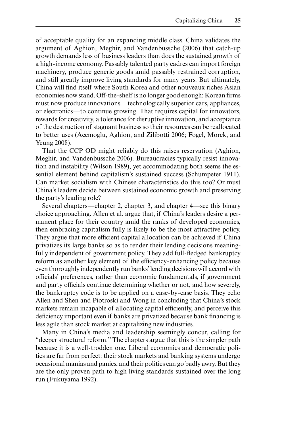of acceptable quality for an expanding middle class. China validates the argument of Aghion, Meghir, and Vandenbussche (2006) that catch-up growth demands less of business leaders than does the sustained growth of a high- income economy. Passably talented party cadres can import foreign machinery, produce generic goods amid passably restrained corruption, and still greatly improve living standards for many years. But ultimately, China will find itself where South Korea and other nouveaux riches Asian economies now stand. Off-the-shelf is no longer good enough: Korean firms must now produce innovations—technologically superior cars, appliances, or electronics—to continue growing. That requires capital for innovators, rewards for creativity, a tolerance for disruptive innovation, and acceptance of the destruction of stagnant business so their resources can be reallocated to better uses (Acemoglu, Aghion, and Zilibotti 2006; Fogel, Morck, and Yeung 2008).

That the CCP OD might reliably do this raises reservation (Aghion, Meghir, and Vandenbussche 2006). Bureaucracies typically resist innovation and instability (Wilson 1989), yet accommodating both seems the essential element behind capitalism's sustained success (Schumpeter 1911). Can market socialism with Chinese characteristics do this too? Or must China's leaders decide between sustained economic growth and preserving the party's leading role?

Several chapters—chapter 2, chapter 3, and chapter 4—see this binary choice approaching. Allen et al. argue that, if China's leaders desire a permanent place for their country amid the ranks of developed economies, then embracing capitalism fully is likely to be the most attractive policy. They argue that more efficient capital allocation can be achieved if China privatizes its large banks so as to render their lending decisions meaningfully independent of government policy. They add full-fledged bankruptcy reform as another key element of the efficiency- enhancing policy because even thoroughly independently run banks' lending decisions will accord with officials' preferences, rather than economic fundamentals, if government and party officials continue determining whether or not, and how severely, the bankruptcy code is to be applied on a case- by- case basis. They echo Allen and Shen and Piotroski and Wong in concluding that China's stock markets remain incapable of allocating capital efficiently, and perceive this deficiency important even if banks are privatized because bank financing is less agile than stock market at capitalizing new industries.

Many in China's media and leadership seemingly concur, calling for "deeper structural reform." The chapters argue that this is the simpler path because it is a well-trodden one. Liberal economics and democratic politics are far from perfect: their stock markets and banking systems undergo occasional manias and panics, and their politics can go badly awry. But they are the only proven path to high living standards sustained over the long run (Fukuyama 1992).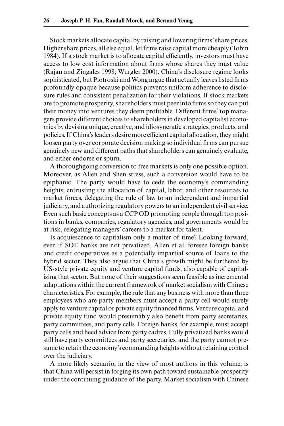Stock markets allocate capital by raising and lowering firms' share prices. Higher share prices, all else equal, let firms raise capital more cheaply (Tobin 1984). If a stock market is to allocate capital efficiently, investors must have access to low cost information about firms whose shares they must value (Rajan and Zingales 1998; Wurgler 2000). China's disclosure regime looks sophisticated, but Piotroski and Wong argue that actually leaves listed firms profoundly opaque because politics prevents uniform adherence to disclosure rules and consistent penalization for their violations. If stock markets are to promote prosperity, shareholders must peer into firms so they can put their money into ventures they deem profitable. Different firms' top managers provide different choices to shareholders in developed capitalist economies by devising unique, creative, and idiosyncratic strategies, products, and policies. If China's leaders desire more efficient capital allocation, they might loosen party over corporate decision making so individual firms can pursue genuinely new and different paths that shareholders can genuinely evaluate, and either endorse or spurn.

A thoroughgoing conversion to free markets is only one possible option. Moreover, as Allen and Shen stress, such a conversion would have to be epiphanic. The party would have to cede the economy's commanding heights, entrusting the allocation of capital, labor, and other resources to market forces, delegating the rule of law to an independent and impartial judiciary, and authorizing regulatory powers to an independent civil service. Even such basic concepts as a CCP OD promoting people through top positions in banks, companies, regulatory agencies, and governments would be at risk, relegating managers' careers to a market for talent.

Is acquiescence to capitalism only a matter of time? Looking forward, even if SOE banks are not privatized, Allen et al. foresee foreign banks and credit cooperatives as a potentially impartial source of loans to the hybrid sector. They also argue that China's growth might be furthered by US- style private equity and venture capital funds, also capable of capitalizing that sector. But none of their suggestions seem feasible as incremental adaptations within the current framework of market socialism with Chinese characteristics. For example, the rule that any business with more than three employees who are party members must accept a party cell would surely apply to venture capital or private equity financed firms. Venture capital and private equity fund would presumably also benefit from party secretaries, party committees, and party cells. Foreign banks, for example, must accept party cells and heed advice from party cadres. Fully privatized banks would still have party committees and party secretaries, and the party cannot presume to retain the economy's commanding heights without retaining control over the judiciary.

A more likely scenario, in the view of most authors in this volume, is that China will persist in forging its own path toward sustainable prosperity under the continuing guidance of the party. Market socialism with Chinese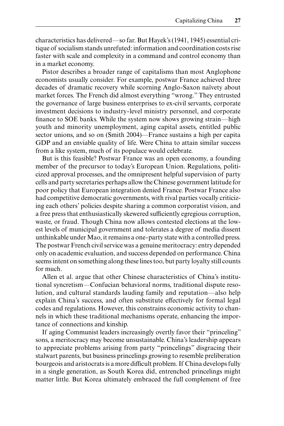characteristics has delivered—so far. But Hayek's (1941, 1945) essential critique of socialism stands unrefuted: information and coordination costs rise faster with scale and complexity in a command and control economy than in a market economy.

Pistor describes a broader range of capitalisms than most Anglophone economists usually consider. For example, postwar France achieved three decades of dramatic recovery while scorning Anglo- Saxon naïvety about market forces. The French did almost everything "wrong." They entrusted the governance of large business enterprises to ex-civil servants, corporate investment decisions to industry- level ministry personnel, and corporate finance to SOE banks. While the system now shows growing strain—high youth and minority unemployment, aging capital assets, entitled public sector unions, and so on (Smith 2004)—France sustains a high per capita GDP and an enviable quality of life. Were China to attain similar success from a like system, much of its populace would celebrate.

But is this feasible? Postwar France was an open economy, a founding member of the precursor to today's European Union. Regulations, politicized approval processes, and the omnipresent helpful supervision of party cells and party secretaries perhaps allow the Chinese government latitude for poor policy that European integration denied France. Postwar France also had competitive democratic governments, with rival parties vocally criticizing each others' policies despite sharing a common corporatist vision, and a free press that enthusiastically skewered sufficiently egregious corruption, waste, or fraud. Though China now allows contested elections at the lowest levels of municipal government and tolerates a degree of media dissent unthinkable under Mao, it remains a one- party state with a controlled press. The postwar French civil service was a genuine meritocracy: entry depended only on academic evaluation, and success depended on performance. China seems intent on something along these lines too, but party loyalty still counts for much.

Allen et al. argue that other Chinese characteristics of China's institutional syncretism—Confucian behavioral norms, traditional dispute resolution, and cultural standards lauding family and reputation—also help explain China's success, and often substitute effectively for formal legal codes and regulations. However, this constrains economic activity to channels in which these traditional mechanisms operate, enhancing the importance of connections and kinship.

If aging Communist leaders increasingly overtly favor their "princeling" sons, a meritocracy may become unsustainable. China's leadership appears to appreciate problems arising from party "princelings" disgracing their stalwart parents, but business princelings growing to resemble preliberation bourgeois and aristocrats is a more difficult problem. If China develops fully in a single generation, as South Korea did, entrenched princelings might matter little. But Korea ultimately embraced the full complement of free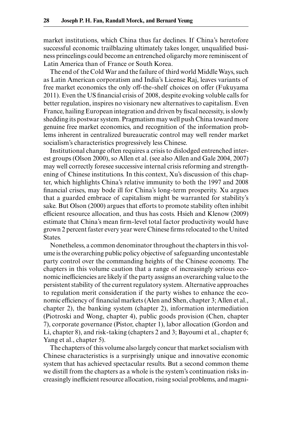market institutions, which China thus far declines. If China's heretofore successful economic trailblazing ultimately takes longer, unqualified business princelings could become an entrenched oligarchy more reminiscent of Latin America than of France or South Korea.

The end of the Cold War and the failure of third world Middle Ways, such as Latin American corporatism and India's License Raj, leaves variants of free market economics the only off- the- shelf choices on offer (Fukuyama 2011). Even the US financial crisis of 2008, despite evoking voluble calls for better regulation, inspires no visionary new alternatives to capitalism. Even France, hailing European integration and driven by fiscal necessity, is slowly shedding its postwar system. Pragmatism may well push China toward more genuine free market economics, and recognition of the information problems inherent in centralized bureaucratic control may well render market socialism's characteristics progressively less Chinese.

Institutional change often requires a crisis to dislodged entrenched interest groups (Olson 2000), so Allen et al. (see also Allen and Gale 2004, 2007) may well correctly foresee successive internal crisis reforming and strengthening of Chinese institutions. In this context, Xu's discussion of this chapter, which highlights China's relative immunity to both the 1997 and 2008 financial crises, may bode ill for China's long-term prosperity. Xu argues that a guarded embrace of capitalism might be warranted for stability's sake. But Olson (2000) argues that efforts to promote stability often inhibit efficient resource allocation, and thus has costs. Hsieh and Klenow (2009) estimate that China's mean firm-level total factor productivity would have grown 2 percent faster every year were Chinese firms relocated to the United States.

Nonetheless, a common denominator throughout the chapters in this volume is the overarching public policy objective of safeguarding uncontestable party control over the commanding heights of the Chinese economy. The chapters in this volume caution that a range of increasingly serious economic inefficiencies are likely if the party assigns an overarching value to the persistent stability of the current regulatory system. Alternative approaches to regulation merit consideration if the party wishes to enhance the economic efficiency of financial markets (Alen and Shen, chapter 3; Allen et al., chapter 2), the banking system (chapter 2), information intermediation (Piotroski and Wong, chapter 4), public goods provision (Chen, chapter 7), corporate governance (Pistor, chapter 1), labor allocation (Gordon and Li, chapter 8), and risk- taking (chapters 2 and 3; Bayoumi et al., chapter 6; Yang et al., chapter 5).

The chapters of this volume also largely concur that market socialism with Chinese characteristics is a surprisingly unique and innovative economic system that has achieved spectacular results. But a second common theme we distill from the chapters as a whole is the system's continuation risks increasingly inefficient resource allocation, rising social problems, and magni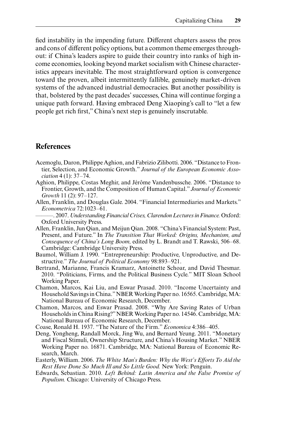fied instability in the impending future. Different chapters assess the pros and cons of different policy options, but a common theme emerges throughout: if China's leaders aspire to guide their country into ranks of high income economies, looking beyond market socialism with Chinese characteristics appears inevitable. The most straightforward option is convergence toward the proven, albeit intermittently fallible, genuinely market- driven systems of the advanced industrial democracies. But another possibility is that, bolstered by the past decades' successes, China will continue forging a unique path forward. Having embraced Deng Xiaoping's call to "let a few people get rich first," China's next step is genuinely inscrutable.

## **References**

- Acemoglu, Daron, Philippe Aghion, and Fabrizio Zilibotti. 2006. "Distance to Frontier, Selection, and Economic Growth." *Journal of the European Economic Association* 4 (1): 37– 74.
- Aghion, Philippe, Costas Meghir, and Jérôme Vandenbussche. 2006. "Distance to Frontier, Growth, and the Composition of Human Capital." *Journal of Economic Growth* 11 (2): 97– 127.
- Allen, Franklin, and Douglas Gale. 2004. "Financial Intermediaries and Markets." *Econometrica* 72:1023–61.
- ———. 2007. *Understanding Financial Crises, Clarendon Lectures in Finance.* Oxford: Oxford University Press.
- Allen, Franklin, Jun Qian, and Meijun Qian. 2008. "China's Financial System: Past, Present, and Future." In *The Transition That Worked: Origins, Mechanism, and Consequence of China's Long Boom,* edited by L. Brandt and T. Rawski, 506-68. Cambridge: Cambridge University Press.
- Baumol, William J. 1990. "Entrepreneurship: Productive, Unproductive, and Destructive." *The Journal of Political Economy* 98:893-921.
- Bertrand, Marianne, Francis Kramarz, Antoinette Schoar, and David Thesmar. 2010. "Politicians, Firms, and the Political Business Cycle." MIT Sloan School Working Paper.
- Chamon, Marcos, Kai Liu, and Eswar Prasad. 2010. "Income Uncertainty and Household Savings in China." NBER Working Paper no. 16565. Cambridge, MA: National Bureau of Economic Research, December.
- Chamon, Marcos, and Eswar Prasad. 2008. "Why Are Saving Rates of Urban Households in China Rising?" NBER Working Paper no. 14546. Cambridge, MA: National Bureau of Economic Research, December.
- Coase, Ronald H. 1937. "The Nature of the Firm." *Economica* 4:386–405.
- Deng, Yongheng, Randall Morck, Jing Wu, and Bernard Yeung. 2011. "Monetary and Fiscal Stimuli, Ownership Structure, and China's Housing Market." NBER Working Paper no. 16871. Cambridge, MA: National Bureau of Economic Research, March.
- Easterly, William. 2006. *The White Man's Burden: Why the West's Efforts To Aid the Rest Have Done So Much Ill and So Little Good.* New York: Penguin.
- Edwards, Sebastian. 2010. *Left Behind: Latin America and the False Promise of Populism.* Chicago: University of Chicago Press.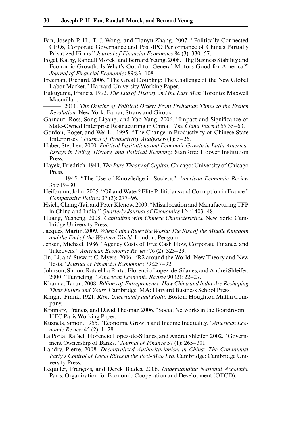- Fan, Joseph P. H., T. J. Wong, and Tianyu Zhang. 2007. "Politically Connected CEOs, Corporate Governance and Post- IPO Performance of China's Partially Privatized Firms." *Journal of Financial Economics* 84 (3): 330-57.
- Fogel, Kathy, Randall Morck, and Bernard Yeung. 2008. "Big Business Stability and Economic Growth: Is What's Good for General Motors Good for America?" *Journal of Financial Economics* 89:83– 108.
- Freeman, Richard. 2006. "The Great Doubling: The Challenge of the New Global Labor Market." Harvard University Working Paper.
- Fukuyama, Francis. 1992. *The End of History and the Last Man.* Toronto: Maxwell Macmillan.
- ———. 2011. *The Origins of Political Order: From Prehuman Times to the French Revolution.* New York: Farrar, Straus and Giroux.
- Garnaut, Ross, Song Ligang, and Yao Yang. 2006. "Impact and Significance of State-Owned Enterprise Restructuring in China." *The China Journal* 55:35–63.
- Gordon, Roger, and Wei Li. 1995. "The Change in Productivity of Chinese State Enterprises." *Journal of Productivity Analysis* 6 (1): 5– 26.
- Haber, Stephen. 2000. *Political Institutions and Economic Growth in Latin America: Essays in Policy, History, and Political Economy.* Stanford: Hoover Institution Press.
- Hayek, Friedrich. 1941. *The Pure Theory of Capital.* Chicago: University of Chicago Press.
- ———. 1945. "The Use of Knowledge in Society." *American Economic Review*  $35:519-30.$
- Heilbrunn, John. 2005. "Oil and Water? Elite Politicians and Corruption in France." *Comparative Politics* 37 (3): 277– 96.
- Hsieh, Chang-Tai, and Peter Klenow. 2009. "Misallocation and Manufacturing TFP in China and India." *Quarterly Journal of Economics* 124:1403–48.
- Huang, Yasheng. 2008. *Capitalism with Chinese Characteristics.* New York: Cambridge University Press.
- Jacques, Martin. 2009. *When China Rules the World: The Rise of the Middle Kingdom and the End of the Western World.* London: Penguin.
- Jensen, Michael. 1986. "Agency Costs of Free Cash Flow, Corporate Finance, and Takeovers." *American Economic Review* 76 (2): 323– 29.
- Jin, Li, and Stewart C. Myers. 2006. "R2 around the World: New Theory and New Tests." *Journal of Financial Economics* 79:257-92.
- Johnson, Simon, Rafael La Porta, Florencio Lopez- de- Silanes, and Andrei Shleifer. 2000. "Tunneling." American Economic Review 90 (2): 22-27.
- Khanna, Tarun. 2008. *Billions of Entrepreneurs: How China and India Are Reshaping Their Future and Yours.* Cambridge, MA: Harvard Business School Press.
- Knight, Frank. 1921. *Risk, Uncertainty and Profit.* Boston: Houghton Mifflin Company.
- Kramarz, Francis, and David Thesmar. 2006. "Social Networks in the Boardroom." HEC Paris Working Paper.
- Kuznets, Simon. 1955. "Economic Growth and Income Inequality." *American Economic Review* 45 (2): 1–28.
- La Porta, Rafael, Florencio Lopez- de- Silanes, and Andrei Shleifer. 2002. "Government Ownership of Banks." *Journal of Finance* 57 (1): 265– 301.
- Landry, Pierre. 2008. *Decentralized Authoritarianism in China: The Communist Party's Control of Local Elites in the Post- Mao Era.* Cambridge: Cambridge University Press.
- Lequiller, François, and Derek Blades. 2006. *Understanding National Accounts.* Paris: Organization for Economic Cooperation and Development (OECD).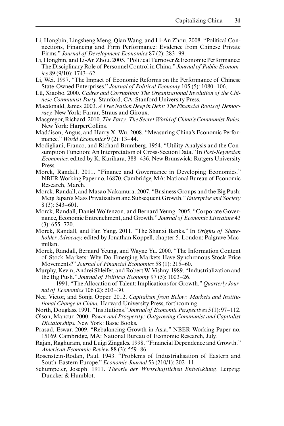- Li, Hongbin, Lingsheng Meng, Qian Wang, and Li- An Zhou. 2008. "Political Connections, Financing and Firm Performance: Evidence from Chinese Private Firms." *Journal of Development Economics* 87 (2): 283– 99.
- Li, Hongbin, and Li-An Zhou. 2005. "Political Turnover & Economic Performance: The Disciplinary Role of Personnel Control in China." *Journal of Public Economics* 89 (9/10): 1743–62.
- Li, Wei. 1997. "The Impact of Economic Reforms on the Performance of Chinese State-Owned Enterprises." *Journal of Political Economy* 105 (5): 1080–106.
- Lü, Xiaobo. 2000. *Cadres and Corruption: The Organizational Involution of the Chinese Communist Party.* Stanford, CA: Stanford University Press.
- Macdonald, James. 2003. *A Free Nation Deep in Debt: The Financial Roots of Democracy.* New York: Farrar, Straus and Giroux.
- Macgregor, Richard. 2010. *The Party: The Secret World of China's Communist Rules.* New York: HarperCollins.
- Maddison, Angus, and Harry X. Wu. 2008. "Measuring China's Economic Performance." *World Economics* 9 (2): 13– 44.
- Modigliani, Franco, and Richard Brumberg. 1954. "Utility Analysis and the Consumption Function: An Interpretation of Cross- Section Data." In *Post- Keynesian Economics,* edited by K. Kurihara, 388– 436. New Brunswick: Rutgers University Press.
- Morck, Randall. 2011. "Finance and Governance in Developing Economics." NBER Working Paper no. 16870. Cambridge, MA: National Bureau of Economic Research, March.
- Morck, Randall, and Masao Nakamura. 2007. "Business Groups and the Big Push: Meiji Japan's Mass Privatization and Subsequent Growth." *Enterprise and Society*  $8(3)$ : 543–601.
- Morck, Randall, Daniel Wolfenzon, and Bernard Yeung. 2005. "Corporate Governance, Economic Entrenchment, and Growth." *Journal of Economic Literature* 43  $(3): 655 - 720.$
- Morck, Randall, and Fan Yang. 2011. "The Shanxi Banks." In *Origins of Shareholder Advocacy,* edited by Jonathan Koppell, chapter 5. London: Palgrave Macmillan.
- Morck, Randall, Bernard Yeung, and Wayne Yu. 2000. "The Information Content of Stock Markets: Why Do Emerging Markets Have Synchronous Stock Price Movements?" *Journal of Financial Economics* 58 (1): 215– 60.
- Murphy, Kevin, Andrei Shleifer, and Robert W. Vishny. 1989. "Industrialization and the Big Push." *Journal of Political Economy* 97 (5): 1003-26.
- -. 1991. "The Allocation of Talent: Implications for Growth." *Quarterly Journal of Economics* 106 (2): 503– 30.
- Nee, Victor, and Sonja Opper. 2012. *Capitalism from Below: Markets and Institutional Change in China.* Harvard University Press, forthcoming.
- North, Douglass. 1991. "Institutions." *Journal of Economic Perspectives* 5 (1): 97– 112.
- Olson, Mancur. 2000. *Power and Prosperity: Outgrowing Communist and Capitalist Dictatorships.* New York: Basic Books.
- Prasad, Eswar. 2009. "Rebalancing Growth in Asia." NBER Working Paper no. 15169. Cambridge, MA: National Bureau of Economic Research, July.
- Rajan, Raghuram, and Luigi Zingales. 1998. "Financial Dependence and Growth." *American Economic Review* 88 (3): 559– 86.
- Rosenstein- Rodan, Paul. 1943. "Problems of Industrialisation of Eastern and South-Eastern Europe." *Economic Journal* 53 (210/1): 202-11.
- Schumpeter, Joseph. 1911. *Theorie der Wirtschaftlichen Entwicklung.* Leipzig: Duncker & Humblot.